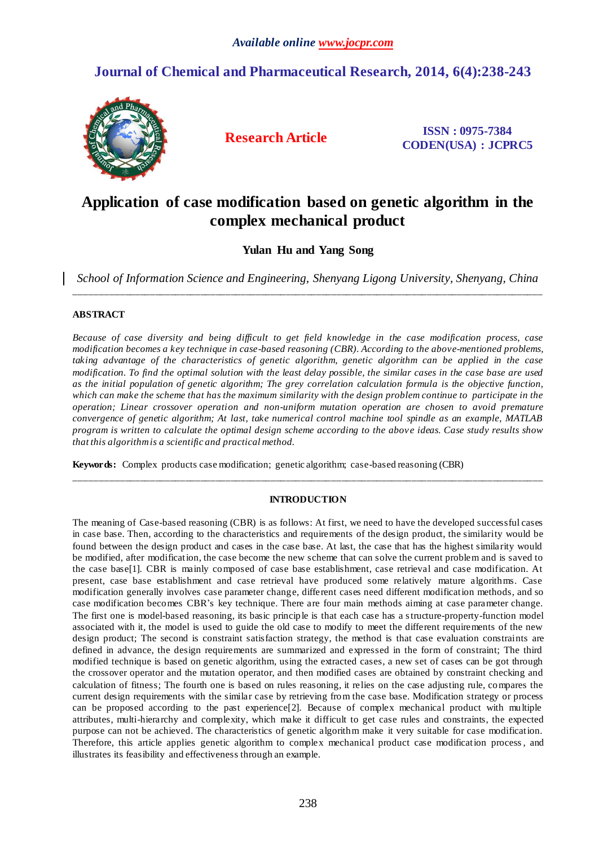# **Journal of Chemical and Pharmaceutical Research, 2014, 6(4):238-243**



**Research Article ISSN : 0975-7384 CODEN(USA) : JCPRC5**

# **Application of case modification based on genetic algorithm in the complex mechanical product**

# **Yulan Hu and Yang Song**

*School of Information Science and Engineering, Shenyang Ligong University, Shenyang, China* \_\_\_\_\_\_\_\_\_\_\_\_\_\_\_\_\_\_\_\_\_\_\_\_\_\_\_\_\_\_\_\_\_\_\_\_\_\_\_\_\_\_\_\_\_\_\_\_\_\_\_\_\_\_\_\_\_\_\_\_\_\_\_\_\_\_\_\_\_\_\_\_\_\_\_\_\_\_\_\_\_\_\_\_\_\_\_\_\_\_\_\_\_

# **ABSTRACT**

*Because of case diversity and being difficult to get field knowledge in the case modification process, case modification becomes a key technique in case-based reasoning (CBR). According to the above-mentioned problems, taking advantage of the characteristics of genetic algorithm, genetic algorithm can be applied in the case modification. To find the optimal solution with the least delay possible, the similar cases in the case base are used as the initial population of genetic algorithm; The grey correlation calculation formula is the objective function,*  which can make the scheme that has the maximum similarity with the design problem continue to participate in the *operation; Linear crossover operation and non-uniform mutation operation are chosen to avoid premature convergence of genetic algorithm; At last, take numerical control machine tool spindle as an example, MATLAB program is written to calculate the optimal design scheme according to the abov e ideas. Case study results show that this algorithm is a scientific and practical method.*

**Keywords:** Complex products case modification; genetic algorithm; case-based reasoning (CBR)

# **INTRODUCTION**

\_\_\_\_\_\_\_\_\_\_\_\_\_\_\_\_\_\_\_\_\_\_\_\_\_\_\_\_\_\_\_\_\_\_\_\_\_\_\_\_\_\_\_\_\_\_\_\_\_\_\_\_\_\_\_\_\_\_\_\_\_\_\_\_\_\_\_\_\_\_\_\_\_\_\_\_\_\_\_\_\_\_\_\_\_\_\_\_\_\_\_\_\_

The meaning of Case-based reasoning (CBR) is as follows: At first, we need to have the developed successful cases in case base. Then, according to the characteristics and requirements of the design product, the similarity would be found between the design product and cases in the case base. At last, the case that has the highest similarity would be modified, after modification, the case become the new scheme that can solve the current problem and is saved to the case base[1]. CBR is mainly composed of case base establishment, case retrieval and case modification. At present, case base establishment and case retrieval have produced some relatively mature algorithms. Case modification generally involves case parameter change, different cases need different modification methods, and so case modification becomes CBR's key technique. There are four main methods aiming at case parameter change. The first one is model-based reasoning, its basic principle is that each case has a structure-property-function model associated with it, the model is used to guide the old case to modify to meet the different requirements of the new design product; The second is constraint satisfaction strategy, the method is that case evaluation constraints are defined in advance, the design requirements are summarized and expressed in the form of constraint; The third modified technique is based on genetic algorithm, using the extracted cases, a new set of cases can be got through the crossover operator and the mutation operator, and then modified cases are obtained by constraint checking and calculation of fitness; The fourth one is based on rules reasoning, it relies on the case adjusting rule, compares the current design requirements with the similar case by retrieving from the case base. Modification strategy or process can be proposed according to the past experience[2]. Because of complex mechanical product with multiple attributes, multi-hierarchy and complexity, which make it difficult to get case rules and constraints, the expected purpose can not be achieved. The characteristics of genetic algorithm make it very suitable for case modification. Therefore, this article applies genetic algorithm to complex mechanical product case modification process, and illustrates its feasibility and effectiveness through an example.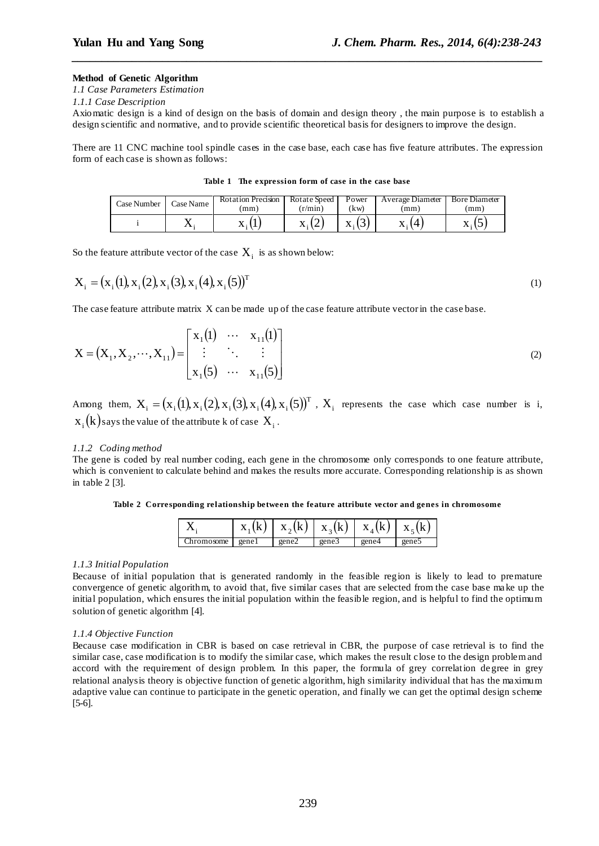# **Method of Genetic Algorithm**

*1.1 Case Parameters Estimation* 

*1.1.1 Case Description*

Axiomatic design is a kind of design on the basis of domain and design theory , the main purpose is to establish a design scientific and normative, and to provide scientific theoretical basis for designers to improve the design.

*\_\_\_\_\_\_\_\_\_\_\_\_\_\_\_\_\_\_\_\_\_\_\_\_\_\_\_\_\_\_\_\_\_\_\_\_\_\_\_\_\_\_\_\_\_\_\_\_\_\_\_\_\_\_\_\_\_\_\_\_\_\_\_\_\_\_\_\_\_\_\_\_\_\_\_\_\_\_*

There are 11 CNC machine tool spindle cases in the case base, each case has five feature attributes. The expression form of each case is shown as follows:

**Table 1 The expression form of case in the case base**

| Case Number | Case Name | <b>Rotation Precision</b><br>(mm) | Rotate Speed<br>$(r/ \text{min})$ | Power<br>kw)       | Average Diameter<br>(mm) | <b>Bore Diameter</b><br>(mm) |
|-------------|-----------|-----------------------------------|-----------------------------------|--------------------|--------------------------|------------------------------|
|             |           |                                   | $\Lambda$ :                       | v.<br>$\Lambda: I$ |                          | $\Lambda$ : $\cup$           |

So the feature attribute vector of the case  $\mathbf{X}_i$  is as shown below:

$$
X_i = (x_i(1), x_i(2), x_i(3), x_i(4), x_i(5))^T
$$
\n(1)

The case feature attribute matrix X can be made up of the case feature attribute vector in the case base.

$$
X = (X_1, X_2, \cdots, X_{11}) = \begin{bmatrix} x_1(1) & \cdots & x_{11}(1) \\ \vdots & \ddots & \vdots \\ x_1(5) & \cdots & x_{11}(5) \end{bmatrix}
$$
 (2)

Among them,  $X_i = (x_i(1), x_i(2), x_i(3), x_i(4), x_i(5))^T$ ,  $X_i$  represents the case which case number is i,  $\mathbf{x_i}(\mathbf{k})$ says the value of the attribute k of case  $\mathbf{X_i}$ .

## *1.1.2 Coding method*

The gene is coded by real number coding, each gene in the chromosome only corresponds to one feature attribute, which is convenient to calculate behind and makes the results more accurate. Corresponding relationship is as shown in table 2 [3].

**Table 2 Corresponding relationship between the feature attribute vector and genes in chromosome**

|        |       |       | $X_{2}$ |       | $\mathbf{v}$ |
|--------|-------|-------|---------|-------|--------------|
| mosome | genel | gene2 | gene.   | gene4 | gene:        |

# *1.1.3 Initial Population*

Because of initial population that is generated randomly in the feasible region is likely to lead to premature convergence of genetic algorithm, to avoid that, five similar cases that are selected from the case base ma ke up the initial population, which ensures the initial population within the feasible region, and is helpful to find the optimum solution of genetic algorithm [4].

## *1.1.4 Objective Function*

Because case modification in CBR is based on case retrieval in CBR, the purpose of case retrieval is to find the similar case, case modification is to modify the similar case, which makes the result close to the design problem and accord with the requirement of design problem. In this paper, the formula of grey correlation de gree in grey relational analysis theory is objective function of genetic algorithm, high similarity individual that has the maximum adaptive value can continue to participate in the genetic operation, and finally we can get the optimal design scheme [5-6].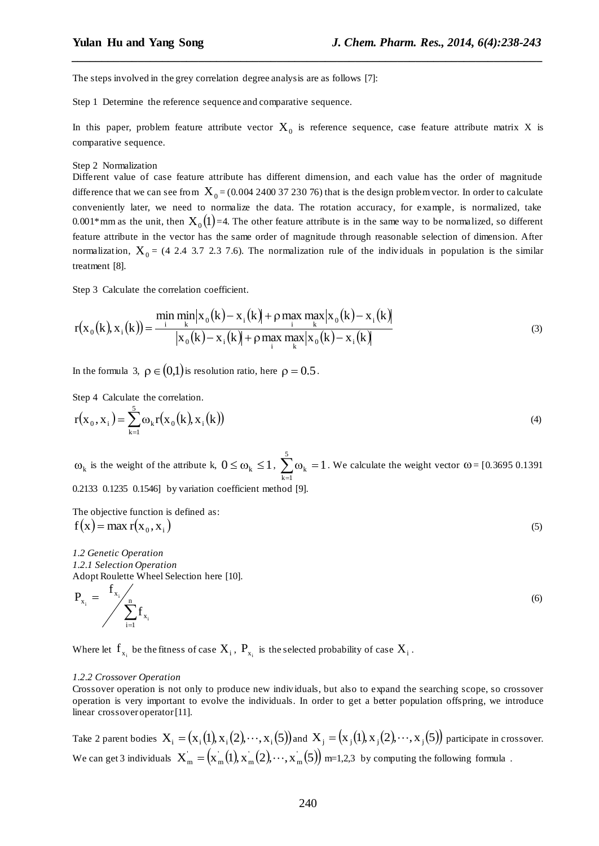The steps involved in the grey correlation degree analysis are as follows [7]:

Step 1 Determine the reference sequence and comparative sequence.

In this paper, problem feature attribute vector  $X_0$  is reference sequence, case feature attribute matrix X is comparative sequence.

*\_\_\_\_\_\_\_\_\_\_\_\_\_\_\_\_\_\_\_\_\_\_\_\_\_\_\_\_\_\_\_\_\_\_\_\_\_\_\_\_\_\_\_\_\_\_\_\_\_\_\_\_\_\_\_\_\_\_\_\_\_\_\_\_\_\_\_\_\_\_\_\_\_\_\_\_\_\_*

#### Step 2 Normalization

Different value of case feature attribute has different dimension, and each value has the order of magnitude difference that we can see from  $X_0 = (0.004\ 2400\ 37\ 230\ 76)$  that is the design problem vector. In order to calculate conveniently later, we need to normalize the data. The rotation accuracy, for example, is normalized, take 0.001\*mm as the unit, then  $X_0(1)$ =4. The other feature attribute is in the same way to be normalized, so different feature attribute in the vector has the same order of magnitude through reasonable selection of dimension. After normalization,  $X_0$  = (4 2.4 3.7 2.3 7.6). The normalization rule of the individuals in population is the similar treatment [8].

Step 3 Calculate the correlation coefficient.

$$
r(x_0(k), x_i(k)) = \frac{\min_{k} \min_{k} |x_0(k) - x_i(k)| + \rho \max_{k} \max_{k} |x_0(k) - x_i(k)|}{|x_0(k) - x_i(k)| + \rho \max_{k} \max_{k} |x_0(k) - x_i(k)|}
$$
(3)

In the formula 3,  $\rho \in (0,1)$  is resolution ratio, here  $\rho = 0.5$ .

Step 4 Calculate the correlation.

$$
r(x_0, x_i) = \sum_{k=1}^{5} \omega_k r(x_0(k), x_i(k))
$$
\n(4)

 $\omega_k$  is the weight of the attribute k,  $0 \le \omega_k \le 1$ ,  $\sum_{k=1}^{5} \omega_k = 1$  $\sum_{k=1} \omega_k =$ . We calculate the weight vector  $\omega = [0.3695 \, 0.1391]$ 0.2133 0.1235 0.1546] by variation coefficient method [9].

The objective function is defined as:  $f(x) = \max r(x_0, x_1)$  (5)

*1.2 Genetic Operation*

*1.2.1 Selection Operation* Adopt Roulette Wheel Selection here [10].

$$
P_{x_i} = \frac{f_{x_i}}{\sum_{i=1}^{n} f_{x_i}}
$$
 (6)

Where let  $f_{x_i}$  be the fitness of case  $X_i$ ,  $P_{x_i}$  is the selected probability of case  $X_i$ .

#### *1.2.2 Crossover Operation*

Crossover operation is not only to produce new individuals, but also to expand the searching scope, so crossover operation is very important to evolve the individuals. In order to get a better population offspring, we introduce linear crossover operator [11].

Take 2 parent bodies  $X_i = (x_i(1), x_i(2), \dots, x_i(5))$  and  $X_j = (x_j(1), x_j(2), \dots, x_j(5))$  participate in crossover. We can get 3 individuals  $\ X_{\rm m}^{'}=\left(x_{\rm m}(1), x_{\rm m}^{'}(2), \cdots, x_{\rm m}^{'}(5)\right)$  m=1,2,3 by computing the following formula .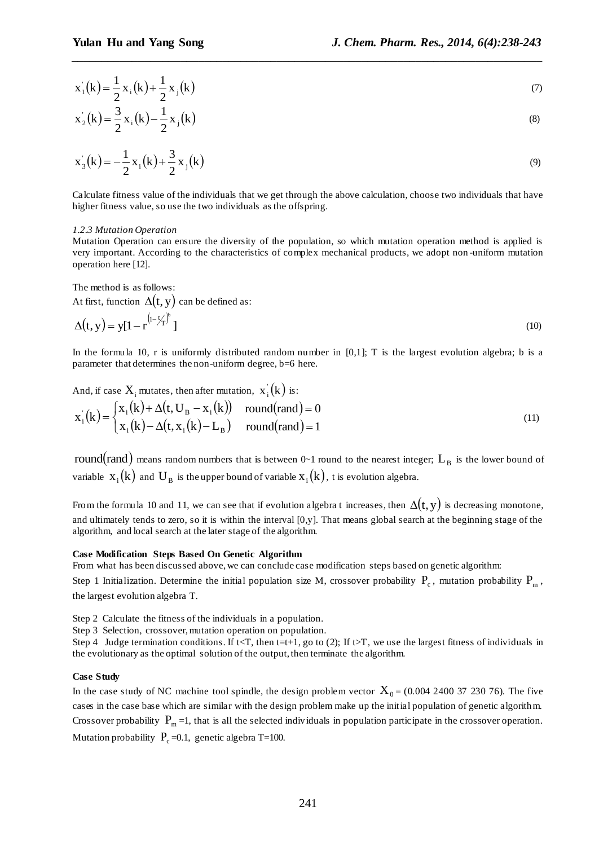$$
x_1(k) = \frac{1}{2}x_1(k) + \frac{1}{2}x_1(k)
$$
\n(7)

*\_\_\_\_\_\_\_\_\_\_\_\_\_\_\_\_\_\_\_\_\_\_\_\_\_\_\_\_\_\_\_\_\_\_\_\_\_\_\_\_\_\_\_\_\_\_\_\_\_\_\_\_\_\_\_\_\_\_\_\_\_\_\_\_\_\_\_\_\_\_\_\_\_\_\_\_\_\_*

$$
x_2(k) = \frac{3}{2}x_1(k) - \frac{1}{2}x_1(k)
$$
\n(8)

$$
x_{3}(k) = -\frac{1}{2}x_{1}(k) + \frac{3}{2}x_{1}(k)
$$
\n(9)

Calculate fitness value of the individuals that we get through the above calculation, choose two individuals that have higher fitness value, so use the two individuals as the offspring.

### *1.2.3 Mutation Operation*

Mutation Operation can ensure the diversity of the population, so which mutation operation method is applied is very important. According to the characteristics of complex mechanical products, we adopt non -uniform mutation operation here [12].

The method is as follows:

At first, function  $\Delta(t, y)$  can be defined as:

$$
\Delta(t, y) = y[1 - r^{(1 - \frac{t}{T})^b}]
$$
\n(10)

In the formula 10, r is uniformly distributed random number in  $[0,1]$ ; T is the largest evolution algebra; b is a parameter that determines the non-uniform degree, b=6 here.

And, if case  $X_i$  mutates, then after mutation,  $x_i^{\prime}(k)$  is:

$$
\mathbf{x}_{i}^{'}(k) = \begin{cases} \mathbf{x}_{i}(k) + \Delta(t, U_{B} - \mathbf{x}_{i}(k)) & \text{round}(\text{rand}) = 0\\ \mathbf{x}_{i}(k) - \Delta(t, \mathbf{x}_{i}(k) - L_{B}) & \text{round}(\text{rand}) = 1 \end{cases}
$$
(11)

 $\rm{round}({\rm{rand}})$  means random numbers that is between 0~1 round to the nearest integer;  $\rm{L_{\rm{B}}}$  is the lower bound of variable  $x_i(k)$  and  $U_B$  is the upper bound of variable  $x_i(k)$ , t is evolution algebra.

From the formula 10 and 11, we can see that if evolution algebra t increases, then  $\Delta(t, y)$  is decreasing monotone, and ultimately tends to zero, so it is within the interval [0,y]. That means global search at the beginning stage of the algorithm, and local search at the later stage of the algorithm.

## **Case Modification Steps Based On Genetic Algorithm**

From what has been discussed above, we can conclude case modification steps based on genetic algorithm:

Step 1 Initialization. Determine the initial population size M, crossover probability  $P_c$ , mutation probability  $P_m$ , the largest evolution algebra T.

Step 2 Calculate the fitness of the individuals in a population.

Step 3 Selection, crossover, mutation operation on population.

Step 4 Judge termination conditions. If t<T, then t=t+1, go to (2); If t>T, we use the largest fitness of individuals in the evolutionary as the optimal solution of the output, then terminate the algorithm.

# **Case Study**

 $(k) = \frac{1}{2}x_1(k) + \frac{1}{2}x_1(k)$ <br>  $(k) = \frac{3}{2}x_1(k) - \frac{1}{2}x_1(k)$ <br>  $(k) = -\frac{1}{2}x_1(k) + \frac{3}{2}x_1(k)$ <br>
cubate fitness value of the individuals that we get through<br>
net fitness value of the individuals that we get through<br>
attat In the case study of NC machine tool spindle, the design problem vector  $X_0 = (0.004\ 2400\ 37\ 230\ 76)$ . The five cases in the case base which are similar with the design problem make up the initial population of genetic algorithm. Crossover probability  $P_m = 1$ , that is all the selected individuals in population participate in the crossover operation. Mutation probability  $\,$  P<sub>c</sub> =0.1, genetic algebra T=100.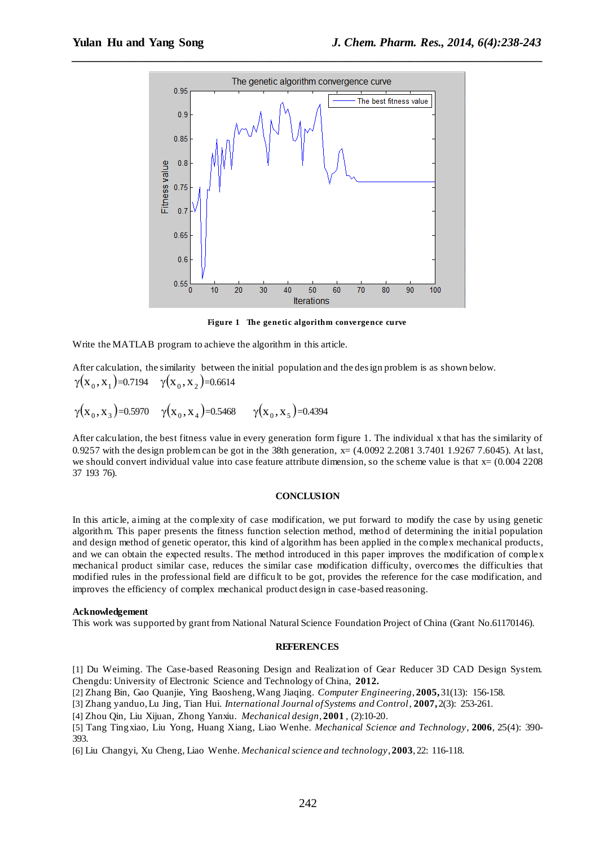

**Figure 1 The genetic algorithm convergence curve**

Write the MATLAB program to achieve the algorithm in this article.

After calculation, the similarity between the initial population and the design problem is as shown below.  $\gamma(\mathbf{x}_0, \mathbf{x}_1)$ =0.7194  $\gamma(\mathbf{x}_0, \mathbf{x}_2)$ =0.6614

 $\gamma(\mathrm{x}_0, \mathrm{x}_3)$ =0.5970  $\gamma(\mathrm{x}_0, \mathrm{x}_4)$ =0.5468  $\gamma(\mathrm{x}_0, \mathrm{x}_5)$ =0.4394

After calculation, the best fitness value in every generation form figure 1. The individual x that has the similarity of 0.9257 with the design problem can be got in the 38th generation, x= (4.0092 2.2081 3.7401 1.9267 7.6045). At last, we should convert individual value into case feature attribute dimension, so the scheme value is that  $x=(0.004\ 2208$ 37 193 76).

# **CONCLUSION**

In this article, aiming at the complexity of case modification, we put forward to modify the case by using genetic algorithm. This paper presents the fitness function selection method, method of determining the initial population and design method of genetic operator, this kind of algorithm has been applied in the complex mechanical products, and we can obtain the expected results. The method introduced in this paper improves the modification of complex mechanical product similar case, reduces the similar case modification difficulty, overcomes the difficulties that modified rules in the professional field are difficult to be got, provides the reference for the case modification, and improves the efficiency of complex mechanical product design in case-based reasoning.

### **Acknowledgement**

This work was supported by grant from National Natural Science Foundation Project of China (Grant No.61170146).

#### **REFERENCES**

[1] Du Weiming. The Case-based Reasoning Design and Realization of Gear Reducer 3D CAD Design System. Chengdu: University of Electronic Science and Technology of China, **2012.**

[2] Zhang Bin, Gao Quanjie, Ying Baosheng, Wang Jiaqing. *Computer Engineering*, **2005,** 31(13): 156-158.

[3] Zhang yanduo, Lu Jing, Tian Hui. *International Journal of Systems and Control*, **2007,** 2(3): 253-261.

[4] Zhou Qin, Liu Xijuan, Zhong Yanxiu. *Mechanical design*, **2001** , (2):10-20.

[5] Tang Tingxiao, Liu Yong, Huang Xiang, Liao Wenhe. *Mechanical Science and Technology*, **2006**, 25(4): 390- 393.

[6] Liu Changyi, Xu Cheng, Liao Wenhe. *Mechanical science and technology*, **2003**, 22: 116-118.